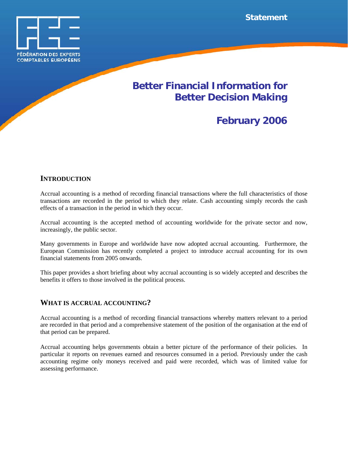

## **Better Financial Information for Better Decision Making**

# **February 2006**

## **INTRODUCTION**

Accrual accounting is a method of recording financial transactions where the full characteristics of those transactions are recorded in the period to which they relate. Cash accounting simply records the cash effects of a transaction in the period in which they occur.

Accrual accounting is the accepted method of accounting worldwide for the private sector and now, increasingly, the public sector.

Many governments in Europe and worldwide have now adopted accrual accounting. Furthermore, the European Commission has recently completed a project to introduce accrual accounting for its own financial statements from 2005 onwards.

This paper provides a short briefing about why accrual accounting is so widely accepted and describes the benefits it offers to those involved in the political process.

## **WHAT IS ACCRUAL ACCOUNTING?**

Accrual accounting is a method of recording financial transactions whereby matters relevant to a period are recorded in that period and a comprehensive statement of the position of the organisation at the end of that period can be prepared.

Accrual accounting helps governments obtain a better picture of the performance of their policies. In particular it reports on revenues earned and resources consumed in a period. Previously under the cash accounting regime only moneys received and paid were recorded, which was of limited value for assessing performance.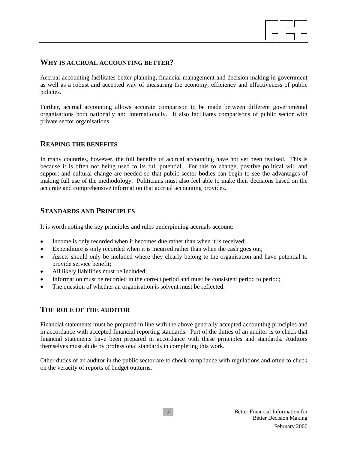

## **WHY IS ACCRUAL ACCOUNTING BETTER?**

Accrual accounting facilitates better planning, financial management and decision making in government as well as a robust and accepted way of measuring the economy, efficiency and effectiveness of public policies.

Further, accrual accounting allows accurate comparison to be made between different governmental organisations both nationally and internationally. It also facilitates comparisons of public sector with private sector organisations.

#### **REAPING THE BENEFITS**

In many countries, however, the full benefits of accrual accounting have not yet been realised. This is because it is often not being used to its full potential. For this to change, positive political will and support and cultural change are needed so that public sector bodies can begin to see the advantages of making full use of the methodology. Politicians must also feel able to make their decisions based on the accurate and comprehensive information that accrual accounting provides.

## **STANDARDS AND PRINCIPLES**

It is worth noting the key principles and rules underpinning accruals account:

- Income is only recorded when it becomes due rather than when it is received;
- Expenditure is only recorded when it is incurred rather than when the cash goes out;
- Assets should only be included where they clearly belong to the organisation and have potential to provide service benefit;
- All likely liabilities must be included;
- Information must be recorded in the correct period and must be consistent period to period;
- The question of whether an organisation is solvent must be reflected.

## **THE ROLE OF THE AUDITOR**

Financial statements must be prepared in line with the above generally accepted accounting principles and in accordance with accepted financial reporting standards. Part of the duties of an auditor is to check that financial statements have been prepared in accordance with these principles and standards. Auditors themselves must abide by professional standards in completing this work.

Other duties of an auditor in the public sector are to check compliance with regulations and often to check on the veracity of reports of budget outturns.

2